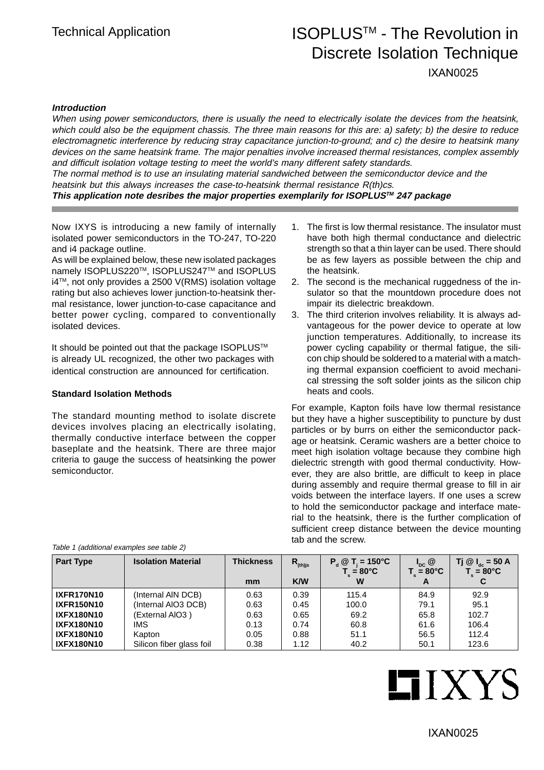## Technical Application **ISOPLUS<sup>™</sup> - The Revolution in** Discrete Isolation Technique

IXAN0025

#### **Introduction**

When using power semiconductors, there is usually the need to electrically isolate the devices from the heatsink, which could also be the equipment chassis. The three main reasons for this are: a) safety; b) the desire to reduce electromagnetic interference by reducing stray capacitance junction-to-ground; and c) the desire to heatsink many devices on the same heatsink frame. The major penalties involve increased thermal resistances, complex assembly and difficult isolation voltage testing to meet the world's many different safety standards. The normal method is to use an insulating material sandwiched between the semiconductor device and the heatsink but this always increases the case-to-heatsink thermal resistance R(th)cs. **This application note desribes the major properties exemplarily for ISOPLUSTM 247 package**

Now IXYS is introducing a new family of internally isolated power semiconductors in the TO-247, TO-220 and i4 package outline.

As will be explained below, these new isolated packages namely ISOPLUS220™, ISOPLUS247™ and ISOPLUS i4TM, not only provides a 2500 V(RMS) isolation voltage rating but also achieves lower junction-to-heatsink thermal resistance, lower junction-to-case capacitance and better power cycling, compared to conventionally isolated devices.

It should be pointed out that the package ISOPLUS™ is already UL recognized, the other two packages with identical construction are announced for certification.

#### **Standard Isolation Methods**

The standard mounting method to isolate discrete devices involves placing an electrically isolating, thermally conductive interface between the copper baseplate and the heatsink. There are three major criteria to gauge the success of heatsinking the power semiconductor.

- 1. The first is low thermal resistance. The insulator must have both high thermal conductance and dielectric strength so that a thin layer can be used. There should be as few layers as possible between the chip and the heatsink.
- 2. The second is the mechanical ruggedness of the insulator so that the mountdown procedure does not impair its dielectric breakdown.
- 3. The third criterion involves reliability. It is always advantageous for the power device to operate at low junction temperatures. Additionally, to increase its power cycling capability or thermal fatigue, the silicon chip should be soldered to a material with a matching thermal expansion coefficient to avoid mechanical stressing the soft solder joints as the silicon chip heats and cools.

For example, Kapton foils have low thermal resistance but they have a higher susceptibility to puncture by dust particles or by burrs on either the semiconductor package or heatsink. Ceramic washers are a better choice to meet high isolation voltage because they combine high dielectric strength with good thermal conductivity. However, they are also brittle, are difficult to keep in place during assembly and require thermal grease to fill in air voids between the interface layers. If one uses a screw to hold the semiconductor package and interface material to the heatsink, there is the further complication of sufficient creep distance between the device mounting tab and the screw.

| <b>Part Type</b>  | <b>Isolation Material</b> | <b>Thickness</b> | $R_{\text{(th)js}}$ | $T = 150^{\circ}$ C<br>$P_{d}$ $@$<br>$T_{\text{I}} = 80^{\circ}C$ | $I_{DC}$ $@$<br>$T_{c}$ = 80°C | Tj @ $I_{\text{dc}}$ = 50 A<br>$T_{\text{I}}$ = 80°C |
|-------------------|---------------------------|------------------|---------------------|--------------------------------------------------------------------|--------------------------------|------------------------------------------------------|
|                   |                           | mm               | <b>K/W</b>          | W                                                                  | A                              |                                                      |
| <b>IXFR170N10</b> | (Internal AIN DCB)        | 0.63             | 0.39                | 115.4                                                              | 84.9                           | 92.9                                                 |
| <b>IXFR150N10</b> | (Internal AIO3 DCB)       | 0.63             | 0.45                | 100.0                                                              | 79.1                           | 95.1                                                 |
| <b>IXFX180N10</b> | (External AIO3)           | 0.63             | 0.65                | 69.2                                                               | 65.8                           | 102.7                                                |
| <b>IXFX180N10</b> | IMS                       | 0.13             | 0.74                | 60.8                                                               | 61.6                           | 106.4                                                |
| <b>IXFX180N10</b> | Kapton                    | 0.05             | 0.88                | 51.1                                                               | 56.5                           | 112.4                                                |
| <b>IXFX180N10</b> | Silicon fiber glass foil  | 0.38             | 1.12                | 40.2                                                               | 50.1                           | 123.6                                                |

Table 1 (additional examples see table 2)

# **LIXYS**

IXAN0025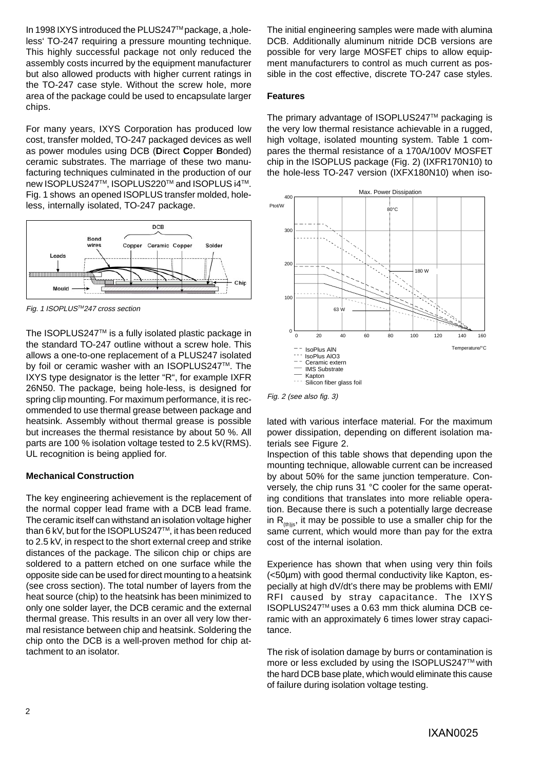In 1998 IXYS introduced the PLUS247™ package, a , holeless' TO-247 requiring a pressure mounting technique. This highly successful package not only reduced the assembly costs incurred by the equipment manufacturer but also allowed products with higher current ratings in the TO-247 case style. Without the screw hole, more area of the package could be used to encapsulate larger chips.

For many years, IXYS Corporation has produced low cost, transfer molded, TO-247 packaged devices as well as power modules using DCB (**D**irect **C**opper **B**onded) ceramic substrates. The marriage of these two manufacturing techniques culminated in the production of our new ISOPLUS247™, ISOPLUS220™ and ISOPLUS i4™. Fig. 1 shows an opened ISOPLUS transfer molded, holeless, internally isolated, TO-247 package.



Fig. 1 ISOPLUSTM247 cross section

The ISOPLUS247™ is a fully isolated plastic package in the standard TO-247 outline without a screw hole. This allows a one-to-one replacement of a PLUS247 isolated by foil or ceramic washer with an ISOPLUS247™. The IXYS type designator is the letter "R", for example IXFR 26N50. The package, being hole-less, is designed for spring clip mounting. For maximum performance, it is recommended to use thermal grease between package and heatsink. Assembly without thermal grease is possible but increases the thermal resistance by about 50 %. All parts are 100 % isolation voltage tested to 2.5 kV(RMS). UL recognition is being applied for.

#### **Mechanical Construction**

The key engineering achievement is the replacement of the normal copper lead frame with a DCB lead frame. The ceramic itself can withstand an isolation voltage higher than 6 kV, but for the ISOPLUS247™, it has been reduced to 2.5 kV, in respect to the short external creep and strike distances of the package. The silicon chip or chips are soldered to a pattern etched on one surface while the opposite side can be used for direct mounting to a heatsink (see cross section). The total number of layers from the heat source (chip) to the heatsink has been minimized to only one solder layer, the DCB ceramic and the external thermal grease. This results in an over all very low thermal resistance between chip and heatsink. Soldering the chip onto the DCB is a well-proven method for chip attachment to an isolator.

The initial engineering samples were made with alumina DCB. Additionally aluminum nitride DCB versions are possible for very large MOSFET chips to allow equipment manufacturers to control as much current as possible in the cost effective, discrete TO-247 case styles.

#### **Features**

The primary advantage of ISOPLUS247™ packaging is the very low thermal resistance achievable in a rugged, high voltage, isolated mounting system. Table 1 compares the thermal resistance of a 170A/100V MOSFET chip in the ISOPLUS package (Fig. 2) (IXFR170N10) to the hole-less TO-247 version (IXFX180N10) when iso-



Fig. 2 (see also fig. 3)

lated with various interface material. For the maximum power dissipation, depending on different isolation materials see Figure 2.

Inspection of this table shows that depending upon the mounting technique, allowable current can be increased by about 50% for the same junction temperature. Conversely, the chip runs 31 °C cooler for the same operating conditions that translates into more reliable operation. Because there is such a potentially large decrease in  $R_{(th)is}$ , it may be possible to use a smaller chip for the same current, which would more than pay for the extra cost of the internal isolation.

Experience has shown that when using very thin foils (<50µm) with good thermal conductivity like Kapton, especially at high dV/dt's there may be problems with EMI/ RFI caused by stray capacitance. The IXYS ISOPLUS247TM uses a 0.63 mm thick alumina DCB ceramic with an approximately 6 times lower stray capacitance.

The risk of isolation damage by burrs or contamination is more or less excluded by using the ISOPLUS247™ with the hard DCB base plate, which would eliminate this cause of failure during isolation voltage testing.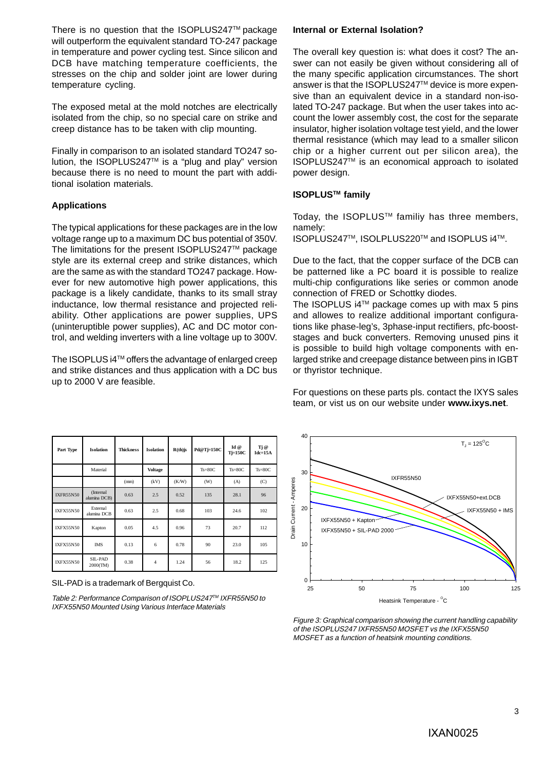There is no question that the ISOPLUS247™ package will outperform the equivalent standard TO-247 package in temperature and power cycling test. Since silicon and DCB have matching temperature coefficients, the stresses on the chip and solder joint are lower during temperature cycling.

The exposed metal at the mold notches are electrically isolated from the chip, so no special care on strike and creep distance has to be taken with clip mounting.

Finally in comparison to an isolated standard TO247 solution, the ISOPLUS247TM is a "plug and play" version because there is no need to mount the part with additional isolation materials.

#### **Applications**

The typical applications for these packages are in the low voltage range up to a maximum DC bus potential of 350V. The limitations for the present ISOPLUS247™ package style are its external creep and strike distances, which are the same as with the standard TO247 package. However for new automotive high power applications, this package is a likely candidate, thanks to its small stray inductance, low thermal resistance and projected reliability. Other applications are power supplies, UPS (uninteruptible power supplies), AC and DC motor control, and welding inverters with a line voltage up to 300V.

The ISOPLUS i4TM offers the advantage of enlarged creep and strike distances and thus application with a DC bus up to 2000 V are feasible.

|  |  |  | Internal or External Isolation? |
|--|--|--|---------------------------------|
|--|--|--|---------------------------------|

The overall key question is: what does it cost? The answer can not easily be given without considering all of the many specific application circumstances. The short answer is that the ISOPLUS247™ device is more expensive than an equivalent device in a standard non-isolated TO-247 package. But when the user takes into account the lower assembly cost, the cost for the separate insulator, higher isolation voltage test yield, and the lower thermal resistance (which may lead to a smaller silicon chip or a higher current out per silicon area), the ISOPLUS247TM is an economical approach to isolated power design.

#### **ISOPLUSTM family**

Today, the ISOPLUS<sup>™</sup> familiy has three members, namely:

ISOPLUS247TM, ISOLPLUS220TM and ISOPLUS i4TM.

Due to the fact, that the copper surface of the DCB can be patterned like a PC board it is possible to realize multi-chip configurations like series or common anode connection of FRED or Schottky diodes.

The ISOPLUS i4TM package comes up with max 5 pins and allowes to realize additional important configurations like phase-leg's, 3phase-input rectifiers, pfc-booststages and buck converters. Removing unused pins it is possible to build high voltage components with enlarged strike and creepage distance between pins in IGBT or thyristor technique.

For questions on these parts pls. contact the IXYS sales team, or vist us on our website under **www.ixys.net**.

| Part Type        | <b>Isolation</b>          | <b>Thickness</b> | <b>Isolation</b> | $R(th)$ js | Pd@Tj=150C | Id @<br>Tj=150C | Tj @<br>$Idc=15A$ |
|------------------|---------------------------|------------------|------------------|------------|------------|-----------------|-------------------|
|                  | Material                  |                  | <b>Voltage</b>   |            | $Ts=80C$   | $Ts=80C$        | $Ts=80C$          |
|                  |                           | (mm)             | (kV)             | (K/W)      | (W)        | (A)             | (C)               |
| <b>IXFR55N50</b> | (Internal<br>alumina DCB) | 0.63             | 2.5              | 0.52       | 135        | 28.1            | 96                |
| <b>IXFX55N50</b> | External<br>alumina DCB   | 0.63             | 2.5              | 0.68       | 103        | 24.6            | 102               |
| <b>IXFX55N50</b> | Kapton                    | 0.05             | 4.5              | 0.96       | 73         | 20.7            | 112               |
| <b>IXFX55N50</b> | <b>IMS</b>                | 0.13             | 6                | 0.78       | 90         | 23.0            | 105               |
| <b>IXFX55N50</b> | SIL-PAD<br>2000(TM)       | 0.38             | 4                | 1.24       | 56         | 18.2            | 125               |

SIL-PAD is a trademark of Bergquist Co.

Table 2: Performance Comparison of ISOPLUS247™ IXFR55N50 to IXFX55N50 Mounted Using Various Interface Materials



Figure 3: Graphical comparison showing the current handling capability of the ISOPLUS247 IXFR55N50 MOSFET vs the IXFX55N50 MOSFET as a function of heatsink mounting conditions.